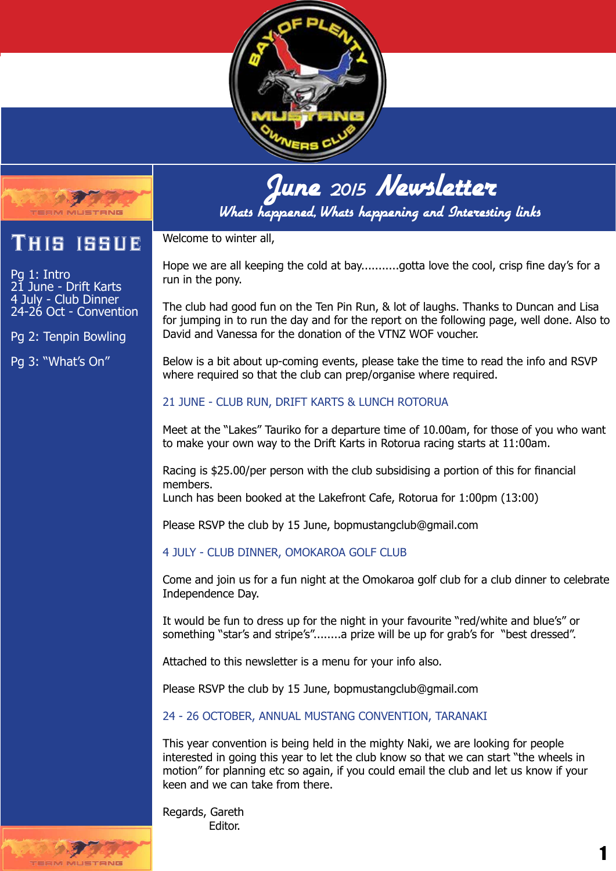

## June <sub>2015</sub> Newsletter

Whats happened, Whats happening and Interesting links

## This issue

Pg 1: Intro June - Drift Karts 4 July - Club Dinner 24-26 Oct - Convention

Pg 2: Tenpin Bowling

Pg 3: "What's On"

Welcome to winter all,

Hope we are all keeping the cold at bay...........gotta love the cool, crisp fine day's for a run in the pony.

The club had good fun on the Ten Pin Run, & lot of laughs. Thanks to Duncan and Lisa for jumping in to run the day and for the report on the following page, well done. Also to David and Vanessa for the donation of the VTNZ WOF voucher.

Below is a bit about up-coming events, please take the time to read the info and RSVP where required so that the club can prep/organise where required.

## 21 JUNE - CLUB RUN, DRIFT KARTS & LUNCH ROTORUA

Meet at the "Lakes" Tauriko for a departure time of 10.00am, for those of you who want to make your own way to the Drift Karts in Rotorua racing starts at 11:00am.

Racing is \$25.00/per person with the club subsidising a portion of this for financial members.

Lunch has been booked at the Lakefront Cafe, Rotorua for 1:00pm (13:00)

Please RSVP the club by 15 June, bopmustangclub@gmail.com

## 4 JULY - CLUB DINNER, OMOKAROA GOLF CLUB

Come and join us for a fun night at the Omokaroa golf club for a club dinner to celebrate Independence Day.

It would be fun to dress up for the night in your favourite "red/white and blue's" or something "star's and stripe's"........a prize will be up for grab's for "best dressed".

Attached to this newsletter is a menu for your info also.

Please RSVP the club by 15 June, bopmustangclub@gmail.com

24 - 26 OCTOBER, ANNUAL MUSTANG CONVENTION, TARANAKI

This year convention is being held in the mighty Naki, we are looking for people interested in going this year to let the club know so that we can start "the wheels in motion" for planning etc so again, if you could email the club and let us know if your keen and we can take from there.

Regards, Gareth Editor.

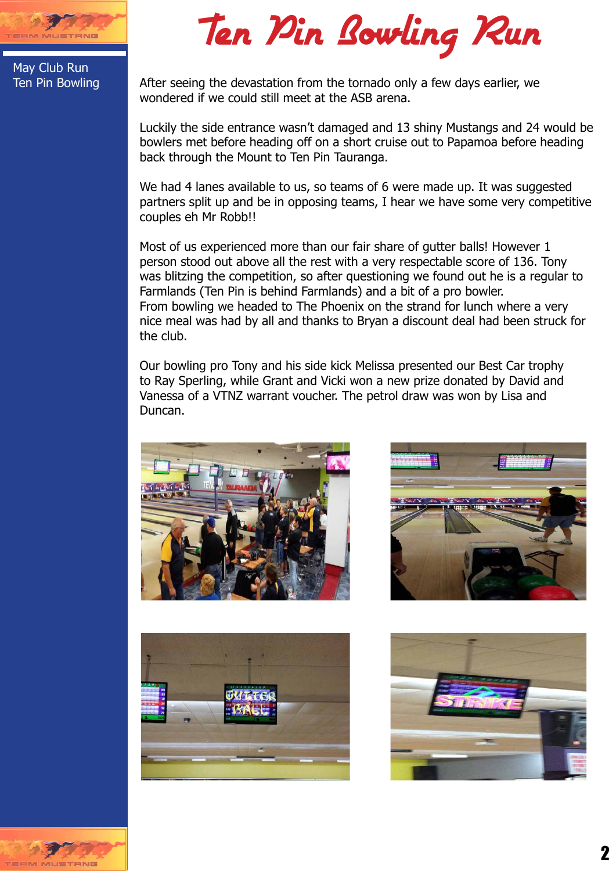

May Club Run Ten Pin Bowling

Ten Pin Bowling Run

After seeing the devastation from the tornado only a few days earlier, we wondered if we could still meet at the ASB arena.

Luckily the side entrance wasn't damaged and 13 shiny Mustangs and 24 would be bowlers met before heading off on a short cruise out to Papamoa before heading back through the Mount to Ten Pin Tauranga.

We had 4 lanes available to us, so teams of 6 were made up. It was suggested partners split up and be in opposing teams, I hear we have some very competitive couples eh Mr Robb!!

Most of us experienced more than our fair share of gutter balls! However 1 person stood out above all the rest with a very respectable score of 136. Tony was blitzing the competition, so after questioning we found out he is a regular to Farmlands (Ten Pin is behind Farmlands) and a bit of a pro bowler. From bowling we headed to The Phoenix on the strand for lunch where a very nice meal was had by all and thanks to Bryan a discount deal had been struck for the club.

Our bowling pro Tony and his side kick Melissa presented our Best Car trophy to Ray Sperling, while Grant and Vicki won a new prize donated by David and Vanessa of a VTNZ warrant voucher. The petrol draw was won by Lisa and Duncan.